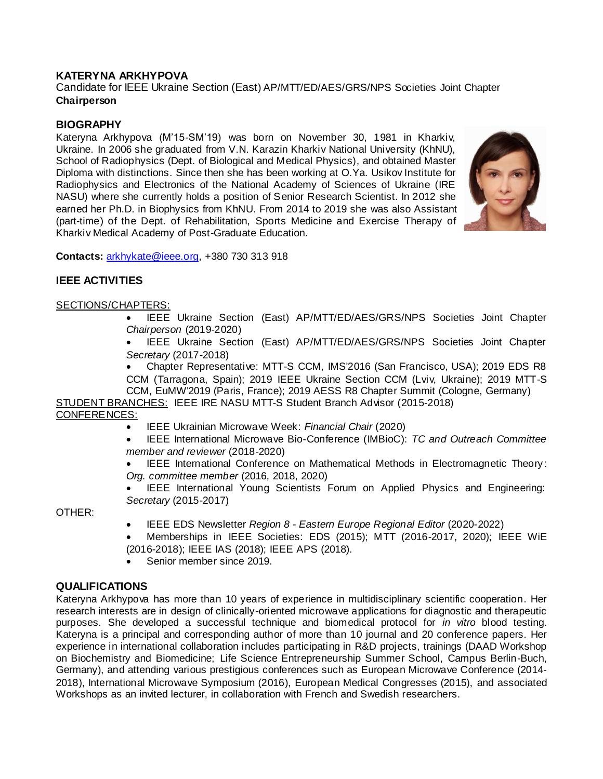# **KATERYNA ARKHYPOVA**

Candidate for IEEE Ukraine Section (East) AP/MTT/ED/AES/GRS/NPS Societies Joint Chapter **Chairperson**

## **BIOGRAPHY**

Kateryna Arkhypova (M'15-SM'19) was born on November 30, 1981 in Kharkiv, Ukraine. In 2006 she graduated from V.N. Karazin Kharkiv National University (KhNU), School of Radiophysics (Dept. of Biological and Medical Physics), and obtained Master Diploma with distinctions. Since then she has been working at O.Ya. Usikov Institute for Radiophysics and Electronics of the National Academy of Sciences of Ukraine (IRE NASU) where she currently holds a position of Senior Research Scientist. In 2012 she earned her Ph.D. in Biophysics from KhNU. From 2014 to 2019 she was also Assistant (part-time) of the Dept. of Rehabilitation, Sports Medicine and Exercise Therapy of Kharkiv Medical Academy of Post-Graduate Education.



**Contacts:** [arkhykate@ieee.org,](mailto:arkhykate@ieee.org) +380 730 313 918

## **IEEE ACTIVITIES**

#### SECTIONS/CHAPTERS:

 IEEE Ukraine Section (East) AP/MTT/ED/AES/GRS/NPS Societies Joint Chapter *Chairperson* (2019-2020)

 IEEE Ukraine Section (East) AP/MTT/ED/AES/GRS/NPS Societies Joint Chapter *Secretary* (2017-2018)

 Chapter Representative: MTT-S CCM, IMS'2016 (San Francisco, USA); 2019 EDS R8 CCM (Tarragona, Spain); 2019 IEEE Ukraine Section CCM (Lviv, Ukraine); 2019 MTT-S CCM, EuMW'2019 (Paris, France); 2019 AESS R8 Chapter Summit (Cologne, Germany)

STUDENT BRANCHES: IEEE IRE NASU MTT-S Student Branch Advisor (2015-2018) CONFERENCES:

- IEEE Ukrainian Microwave Week: *Financial Chair* (2020)
- IEEE International Microwave Bio-Conference (IMBioC): *TC and Outreach Committee member and reviewer* (2018-2020)

 IEEE International Conference on Mathematical Methods in Electromagnetic Theory : *Org. committee member* (2016, 2018, 2020)

 IEEE International Young Scientists Forum on Applied Physics and Engineering: *Secretary* (2015-2017)

OTHER:

- IEEE EDS Newsletter *Region 8 - Eastern Europe Regional Editor* (2020-2022)
- Memberships in IEEE Societies: EDS (2015); MTT (2016-2017, 2020); IEEE WiE (2016-2018); IEEE IAS (2018); IEEE APS (2018).
- Senior member since 2019.

### **QUALIFICATIONS**

Kateryna Arkhypova has more than 10 years of experience in multidisciplinary scientific cooperation. Her research interests are in design of clinically-oriented microwave applications for diagnostic and therapeutic purposes. She developed a successful technique and biomedical protocol for *in vitro* blood testing. Kateryna is a principal and corresponding author of more than 10 journal and 20 conference papers. Her experience in international collaboration includes participating in R&D projects, trainings (DAAD Workshop on Biochemistry and Biomedicine; Life Science Entrepreneurship Summer School, Campus Berlin-Buch, Germany), and attending various prestigious conferences such as European Microwave Conference (2014- 2018), International Microwave Symposium (2016), European Medical Congresses (2015), and associated Workshops as an invited lecturer, in collaboration with French and Swedish researchers.